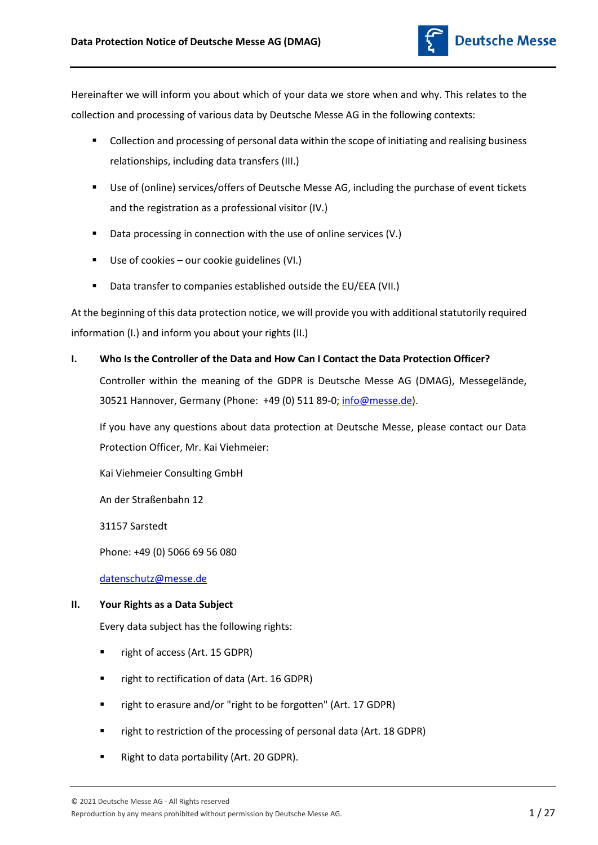

Hereinafter we will inform you about which of your data we store when and why. This relates to the collection and processing of various data by Deutsche Messe AG in the following contexts:

- Collection and processing of personal data within the scope of initiating and realising business relationships, including data transfers (III.)
- Use of (online) services/offers of Deutsche Messe AG, including the purchase of event tickets and the registration as a professional visitor (IV.)
- Data processing in connection with the use of online services (V.)
- Use of cookies our cookie guidelines (VI.)
- Data transfer to companies established outside the EU/EEA (VII.)

At the beginning of this data protection notice, we will provide you with additional statutorily required information (I.) and inform you about your rights (II.)

**I. Who Is the Controller of the Data and How Can I Contact the Data Protection Officer?**

Controller within the meaning of the GDPR is Deutsche Messe AG (DMAG), Messegelände, 30521 Hannover, Germany (Phone: +49 (0) 511 89-0[; info@messe.de\)](mailto:info@messe.de).

If you have any questions about data protection at Deutsche Messe, please contact our Data Protection Officer, Mr. Kai Viehmeier:

Kai Viehmeier Consulting GmbH

An der Straßenbahn 12

31157 Sarstedt

Phone: +49 (0) 5066 69 56 080

[datenschutz@messe.de](mailto:datenschutz@messe.de)

# **II. Your Rights as a Data Subject**

Every data subject has the following rights:

- right of access (Art. 15 GDPR)
- right to rectification of data (Art. 16 GDPR)
- **F** right to erasure and/or "right to be forgotten" (Art. 17 GDPR)
- right to restriction of the processing of personal data (Art. 18 GDPR)
- Right to data portability (Art. 20 GDPR).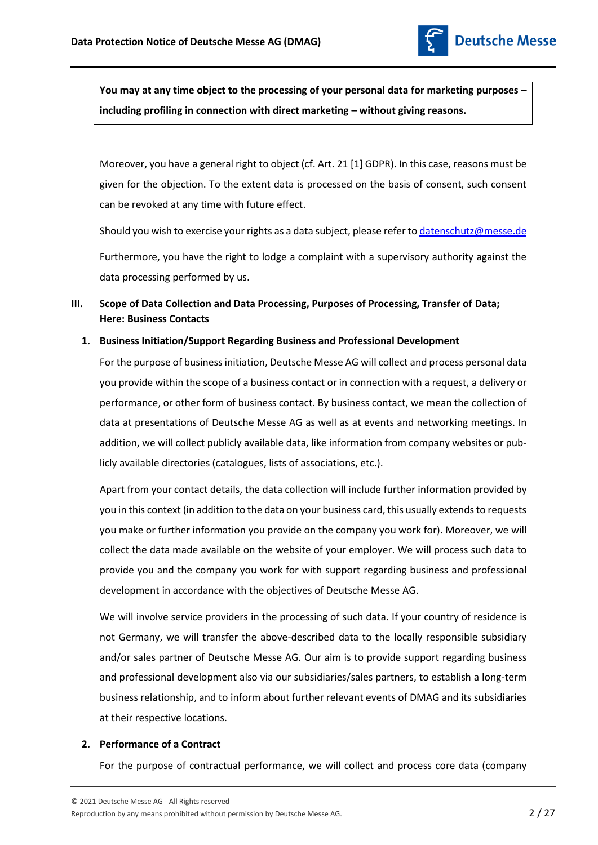

**You may at any time object to the processing of your personal data for marketing purposes – including profiling in connection with direct marketing – without giving reasons.** 

Moreover, you have a general right to object (cf. Art. 21 [1] GDPR). In this case, reasons must be given for the objection. To the extent data is processed on the basis of consent, such consent can be revoked at any time with future effect.

Should you wish to exercise your rights as a data subject, please refer t[o datenschutz@messe.de](mailto:datenschutz@messe.de)

Furthermore, you have the right to lodge a complaint with a supervisory authority against the data processing performed by us.

# **III. Scope of Data Collection and Data Processing, Purposes of Processing, Transfer of Data; Here: Business Contacts**

## **1. Business Initiation/Support Regarding Business and Professional Development**

For the purpose of business initiation, Deutsche Messe AG will collect and process personal data you provide within the scope of a business contact or in connection with a request, a delivery or performance, or other form of business contact. By business contact, we mean the collection of data at presentations of Deutsche Messe AG as well as at events and networking meetings. In addition, we will collect publicly available data, like information from company websites or publicly available directories (catalogues, lists of associations, etc.).

Apart from your contact details, the data collection will include further information provided by you in this context (in addition to the data on your business card, this usually extends to requests you make or further information you provide on the company you work for). Moreover, we will collect the data made available on the website of your employer. We will process such data to provide you and the company you work for with support regarding business and professional development in accordance with the objectives of Deutsche Messe AG.

We will involve service providers in the processing of such data. If your country of residence is not Germany, we will transfer the above-described data to the locally responsible subsidiary and/or sales partner of Deutsche Messe AG. Our aim is to provide support regarding business and professional development also via our subsidiaries/sales partners, to establish a long-term business relationship, and to inform about further relevant events of DMAG and its subsidiaries at their respective locations.

# **2. Performance of a Contract**

For the purpose of contractual performance, we will collect and process core data (company

Reproduction by any means prohibited without permission by Deutsche Messe AG. 2 27 27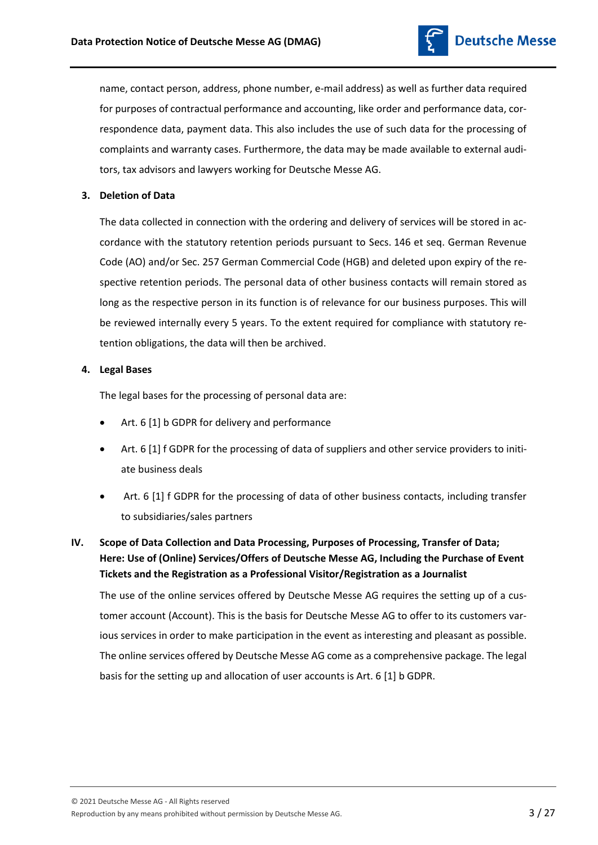

name, contact person, address, phone number, e-mail address) as well as further data required for purposes of contractual performance and accounting, like order and performance data, correspondence data, payment data. This also includes the use of such data for the processing of complaints and warranty cases. Furthermore, the data may be made available to external auditors, tax advisors and lawyers working for Deutsche Messe AG.

# **3. Deletion of Data**

The data collected in connection with the ordering and delivery of services will be stored in accordance with the statutory retention periods pursuant to Secs. 146 et seq. German Revenue Code (AO) and/or Sec. 257 German Commercial Code (HGB) and deleted upon expiry of the respective retention periods. The personal data of other business contacts will remain stored as long as the respective person in its function is of relevance for our business purposes. This will be reviewed internally every 5 years. To the extent required for compliance with statutory retention obligations, the data will then be archived.

## **4. Legal Bases**

The legal bases for the processing of personal data are:

- Art. 6 [1] b GDPR for delivery and performance
- Art. 6 [1] f GDPR for the processing of data of suppliers and other service providers to initiate business deals
- Art. 6 [1] f GDPR for the processing of data of other business contacts, including transfer to subsidiaries/sales partners
- **IV. Scope of Data Collection and Data Processing, Purposes of Processing, Transfer of Data; Here: Use of (Online) Services/Offers of Deutsche Messe AG, Including the Purchase of Event Tickets and the Registration as a Professional Visitor/Registration as a Journalist**

The use of the online services offered by Deutsche Messe AG requires the setting up of a customer account (Account). This is the basis for Deutsche Messe AG to offer to its customers various services in order to make participation in the event as interesting and pleasant as possible. The online services offered by Deutsche Messe AG come as a comprehensive package. The legal basis for the setting up and allocation of user accounts is Art. 6 [1] b GDPR.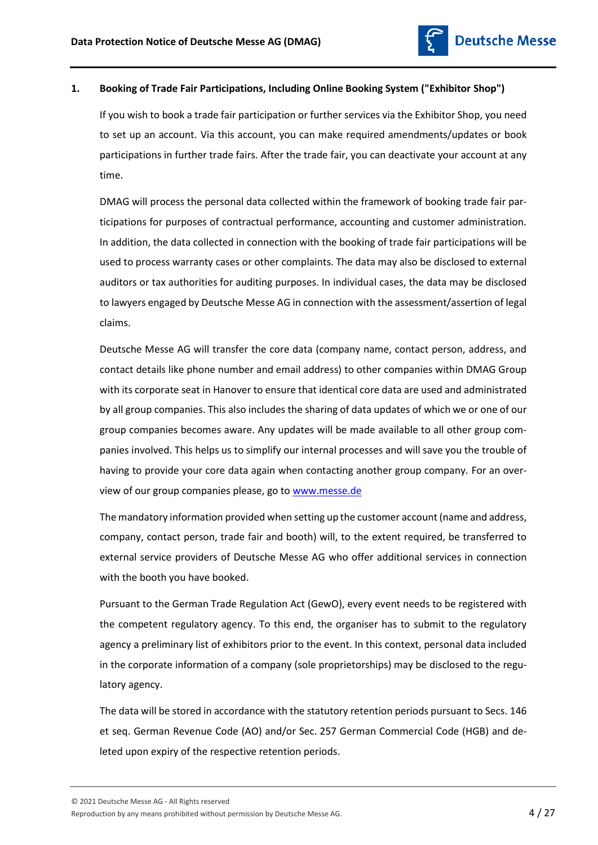# **1. Booking of Trade Fair Participations, Including Online Booking System ("Exhibitor Shop")**

If you wish to book a trade fair participation or further services via the Exhibitor Shop, you need to set up an account. Via this account, you can make required amendments/updates or book participations in further trade fairs. After the trade fair, you can deactivate your account at any time.

DMAG will process the personal data collected within the framework of booking trade fair participations for purposes of contractual performance, accounting and customer administration. In addition, the data collected in connection with the booking of trade fair participations will be used to process warranty cases or other complaints. The data may also be disclosed to external auditors or tax authorities for auditing purposes. In individual cases, the data may be disclosed to lawyers engaged by Deutsche Messe AG in connection with the assessment/assertion of legal claims.

Deutsche Messe AG will transfer the core data (company name, contact person, address, and contact details like phone number and email address) to other companies within DMAG Group with its corporate seat in Hanover to ensure that identical core data are used and administrated by all group companies. This also includes the sharing of data updates of which we or one of our group companies becomes aware. Any updates will be made available to all other group companies involved. This helps us to simplify our internal processes and will save you the trouble of having to provide your core data again when contacting another group company. For an overview of our group companies please, go to [www.messe.de](http://www.messe.de/)

The mandatory information provided when setting up the customer account (name and address, company, contact person, trade fair and booth) will, to the extent required, be transferred to external service providers of Deutsche Messe AG who offer additional services in connection with the booth you have booked.

Pursuant to the German Trade Regulation Act (GewO), every event needs to be registered with the competent regulatory agency. To this end, the organiser has to submit to the regulatory agency a preliminary list of exhibitors prior to the event. In this context, personal data included in the corporate information of a company (sole proprietorships) may be disclosed to the regulatory agency.

The data will be stored in accordance with the statutory retention periods pursuant to Secs. 146 et seq. German Revenue Code (AO) and/or Sec. 257 German Commercial Code (HGB) and deleted upon expiry of the respective retention periods.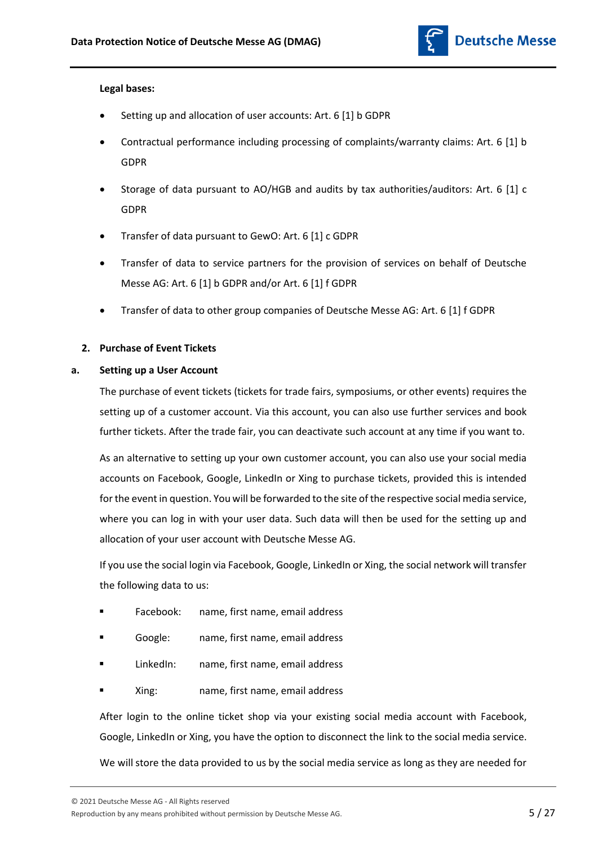# **Legal bases:**

- Setting up and allocation of user accounts: Art. 6 [1] b GDPR
- Contractual performance including processing of complaints/warranty claims: Art. 6 [1] b GDPR
- Storage of data pursuant to AO/HGB and audits by tax authorities/auditors: Art. 6 [1] c GDPR
- Transfer of data pursuant to GewO: Art. 6 [1] c GDPR
- Transfer of data to service partners for the provision of services on behalf of Deutsche Messe AG: Art. 6 [1] b GDPR and/or Art. 6 [1] f GDPR
- Transfer of data to other group companies of Deutsche Messe AG: Art. 6 [1] f GDPR

# **2. Purchase of Event Tickets**

# **a. Setting up a User Account**

The purchase of event tickets (tickets for trade fairs, symposiums, or other events) requires the setting up of a customer account. Via this account, you can also use further services and book further tickets. After the trade fair, you can deactivate such account at any time if you want to.

As an alternative to setting up your own customer account, you can also use your social media accounts on Facebook, Google, LinkedIn or Xing to purchase tickets, provided this is intended for the event in question. You will be forwarded to the site of the respective social media service, where you can log in with your user data. Such data will then be used for the setting up and allocation of your user account with Deutsche Messe AG.

If you use the social login via Facebook, Google, LinkedIn or Xing, the social network will transfer the following data to us:

- Facebook: name, first name, email address
- Google: name, first name, email address
- LinkedIn: name, first name, email address
- Xing: name, first name, email address

After login to the online ticket shop via your existing social media account with Facebook, Google, LinkedIn or Xing, you have the option to disconnect the link to the social media service.

We will store the data provided to us by the social media service as long as they are needed for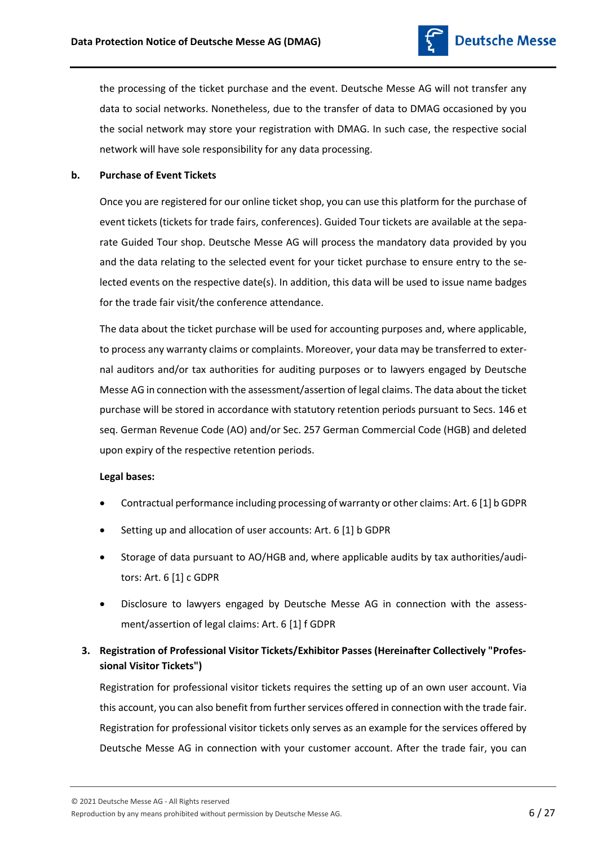

the processing of the ticket purchase and the event. Deutsche Messe AG will not transfer any data to social networks. Nonetheless, due to the transfer of data to DMAG occasioned by you the social network may store your registration with DMAG. In such case, the respective social network will have sole responsibility for any data processing.

# **b. Purchase of Event Tickets**

Once you are registered for our online ticket shop, you can use this platform for the purchase of event tickets (tickets for trade fairs, conferences). Guided Tour tickets are available at the separate Guided Tour shop. Deutsche Messe AG will process the mandatory data provided by you and the data relating to the selected event for your ticket purchase to ensure entry to the selected events on the respective date(s). In addition, this data will be used to issue name badges for the trade fair visit/the conference attendance.

The data about the ticket purchase will be used for accounting purposes and, where applicable, to process any warranty claims or complaints. Moreover, your data may be transferred to external auditors and/or tax authorities for auditing purposes or to lawyers engaged by Deutsche Messe AG in connection with the assessment/assertion of legal claims. The data about the ticket purchase will be stored in accordance with statutory retention periods pursuant to Secs. 146 et seq. German Revenue Code (AO) and/or Sec. 257 German Commercial Code (HGB) and deleted upon expiry of the respective retention periods.

# **Legal bases:**

- Contractual performance including processing of warranty or other claims: Art. 6 [1] b GDPR
- Setting up and allocation of user accounts: Art. 6 [1] b GDPR
- Storage of data pursuant to AO/HGB and, where applicable audits by tax authorities/auditors: Art. 6 [1] c GDPR
- Disclosure to lawyers engaged by Deutsche Messe AG in connection with the assessment/assertion of legal claims: Art. 6 [1] f GDPR

# **3. Registration of Professional Visitor Tickets/Exhibitor Passes (Hereinafter Collectively "Professional Visitor Tickets")**

Registration for professional visitor tickets requires the setting up of an own user account. Via this account, you can also benefit from further services offered in connection with the trade fair. Registration for professional visitor tickets only serves as an example for the services offered by Deutsche Messe AG in connection with your customer account. After the trade fair, you can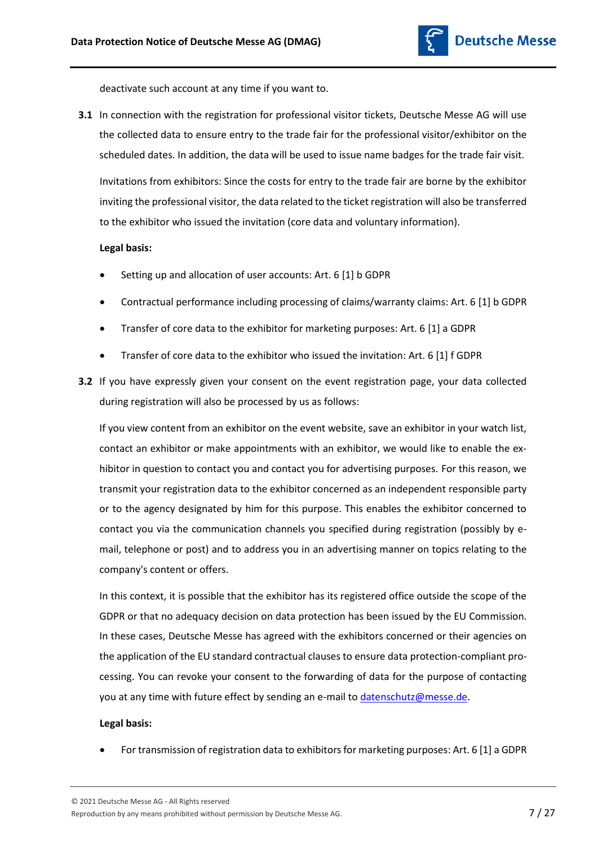

deactivate such account at any time if you want to.

**3.1** In connection with the registration for professional visitor tickets, Deutsche Messe AG will use the collected data to ensure entry to the trade fair for the professional visitor/exhibitor on the scheduled dates. In addition, the data will be used to issue name badges for the trade fair visit. Invitations from exhibitors: Since the costs for entry to the trade fair are borne by the exhibitor inviting the professional visitor, the data related to the ticket registration will also be transferred to the exhibitor who issued the invitation (core data and voluntary information).

## **Legal basis:**

- Setting up and allocation of user accounts: Art. 6 [1] b GDPR
- Contractual performance including processing of claims/warranty claims: Art. 6 [1] b GDPR
- Transfer of core data to the exhibitor for marketing purposes: Art. 6 [1] a GDPR
- Transfer of core data to the exhibitor who issued the invitation: Art. 6 [1] f GDPR
- **3.2** If you have expressly given your consent on the event registration page, your data collected during registration will also be processed by us as follows:

If you view content from an exhibitor on the event website, save an exhibitor in your watch list, contact an exhibitor or make appointments with an exhibitor, we would like to enable the exhibitor in question to contact you and contact you for advertising purposes. For this reason, we transmit your registration data to the exhibitor concerned as an independent responsible party or to the agency designated by him for this purpose. This enables the exhibitor concerned to contact you via the communication channels you specified during registration (possibly by email, telephone or post) and to address you in an advertising manner on topics relating to the company's content or offers.

In this context, it is possible that the exhibitor has its registered office outside the scope of the GDPR or that no adequacy decision on data protection has been issued by the EU Commission. In these cases, Deutsche Messe has agreed with the exhibitors concerned or their agencies on the application of the EU standard contractual clauses to ensure data protection-compliant processing. You can revoke your consent to the forwarding of data for the purpose of contacting you at any time with future effect by sending an e-mail t[o datenschutz@messe.de.](mailto:datenschutz@messe.de)

#### **Legal basis:**

For transmission of registration data to exhibitors for marketing purposes: Art. 6 [1] a GDPR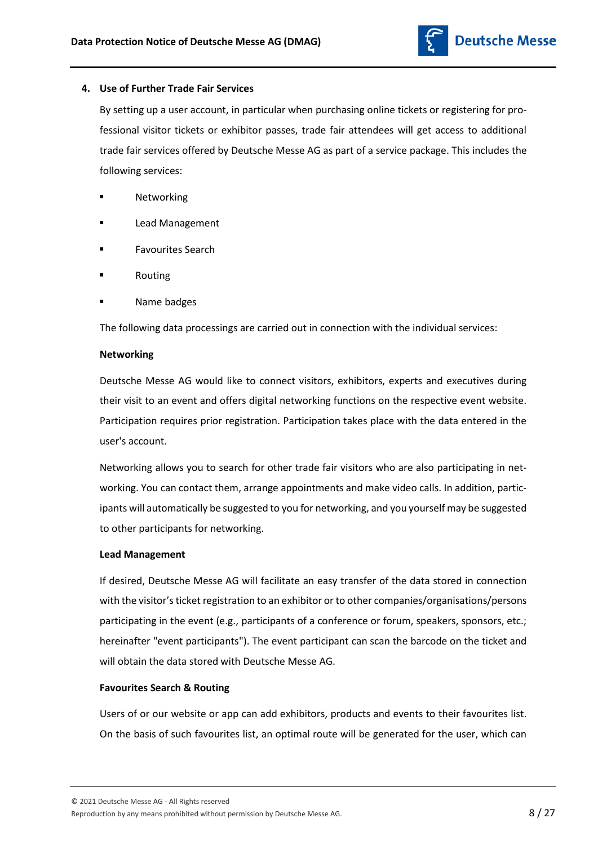

## **4. Use of Further Trade Fair Services**

By setting up a user account, in particular when purchasing online tickets or registering for professional visitor tickets or exhibitor passes, trade fair attendees will get access to additional trade fair services offered by Deutsche Messe AG as part of a service package. This includes the following services:

- Networking
- Lead Management
- Favourites Search
- Routing
- Name badges

The following data processings are carried out in connection with the individual services:

## **Networking**

Deutsche Messe AG would like to connect visitors, exhibitors, experts and executives during their visit to an event and offers digital networking functions on the respective event website. Participation requires prior registration. Participation takes place with the data entered in the user's account.

Networking allows you to search for other trade fair visitors who are also participating in networking. You can contact them, arrange appointments and make video calls. In addition, participants will automatically be suggested to you for networking, and you yourself may be suggested to other participants for networking.

#### **Lead Management**

If desired, Deutsche Messe AG will facilitate an easy transfer of the data stored in connection with the visitor's ticket registration to an exhibitor or to other companies/organisations/persons participating in the event (e.g., participants of a conference or forum, speakers, sponsors, etc.; hereinafter "event participants"). The event participant can scan the barcode on the ticket and will obtain the data stored with Deutsche Messe AG.

# **Favourites Search & Routing**

Users of or our website or app can add exhibitors, products and events to their favourites list. On the basis of such favourites list, an optimal route will be generated for the user, which can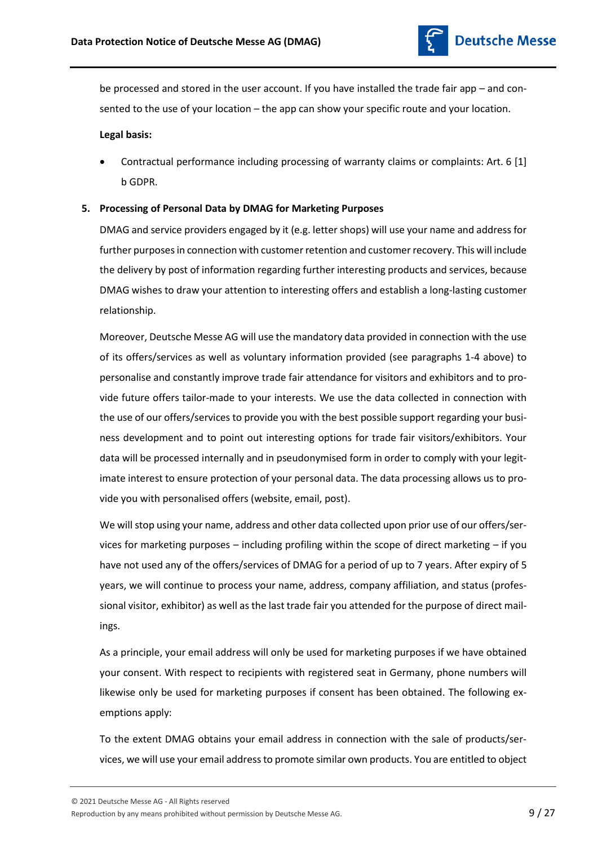

be processed and stored in the user account. If you have installed the trade fair app – and consented to the use of your location – the app can show your specific route and your location.

## **Legal basis:**

 Contractual performance including processing of warranty claims or complaints: Art. 6 [1] b GDPR.

## **5. Processing of Personal Data by DMAG for Marketing Purposes**

DMAG and service providers engaged by it (e.g. letter shops) will use your name and address for further purposes in connection with customer retention and customer recovery. This will include the delivery by post of information regarding further interesting products and services, because DMAG wishes to draw your attention to interesting offers and establish a long-lasting customer relationship.

Moreover, Deutsche Messe AG will use the mandatory data provided in connection with the use of its offers/services as well as voluntary information provided (see paragraphs 1-4 above) to personalise and constantly improve trade fair attendance for visitors and exhibitors and to provide future offers tailor-made to your interests. We use the data collected in connection with the use of our offers/services to provide you with the best possible support regarding your business development and to point out interesting options for trade fair visitors/exhibitors. Your data will be processed internally and in pseudonymised form in order to comply with your legitimate interest to ensure protection of your personal data. The data processing allows us to provide you with personalised offers (website, email, post).

We will stop using your name, address and other data collected upon prior use of our offers/services for marketing purposes – including profiling within the scope of direct marketing – if you have not used any of the offers/services of DMAG for a period of up to 7 years. After expiry of 5 years, we will continue to process your name, address, company affiliation, and status (professional visitor, exhibitor) as well as the last trade fair you attended for the purpose of direct mailings.

As a principle, your email address will only be used for marketing purposes if we have obtained your consent. With respect to recipients with registered seat in Germany, phone numbers will likewise only be used for marketing purposes if consent has been obtained. The following exemptions apply:

To the extent DMAG obtains your email address in connection with the sale of products/services, we will use your email address to promote similar own products. You are entitled to object

Reproduction by any means prohibited without permission by Deutsche Messe AG.  $9/27$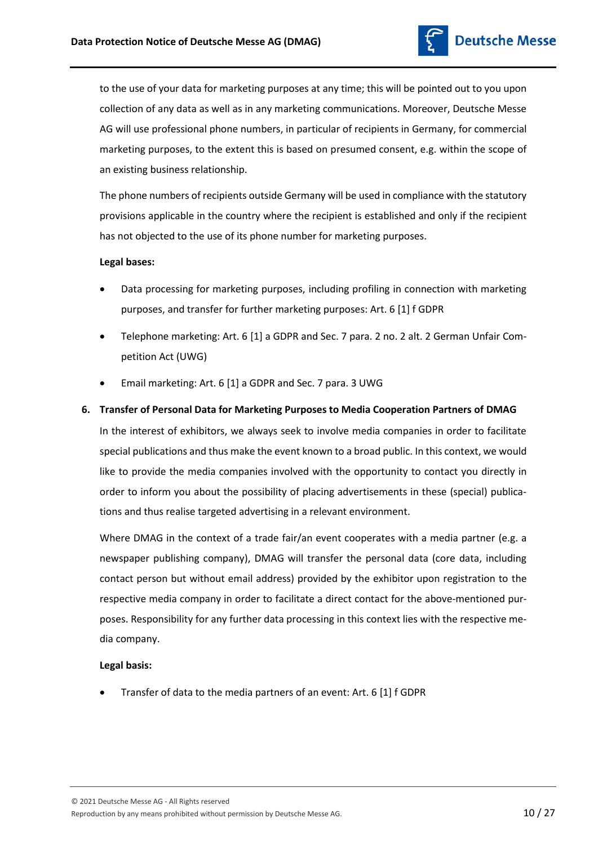

to the use of your data for marketing purposes at any time; this will be pointed out to you upon collection of any data as well as in any marketing communications. Moreover, Deutsche Messe AG will use professional phone numbers, in particular of recipients in Germany, for commercial marketing purposes, to the extent this is based on presumed consent, e.g. within the scope of an existing business relationship.

The phone numbers of recipients outside Germany will be used in compliance with the statutory provisions applicable in the country where the recipient is established and only if the recipient has not objected to the use of its phone number for marketing purposes.

## **Legal bases:**

- Data processing for marketing purposes, including profiling in connection with marketing purposes, and transfer for further marketing purposes: Art. 6 [1] f GDPR
- Telephone marketing: Art. 6 [1] a GDPR and Sec. 7 para. 2 no. 2 alt. 2 German Unfair Competition Act (UWG)
- Email marketing: Art. 6 [1] a GDPR and Sec. 7 para. 3 UWG

# **6. Transfer of Personal Data for Marketing Purposes to Media Cooperation Partners of DMAG**

In the interest of exhibitors, we always seek to involve media companies in order to facilitate special publications and thus make the event known to a broad public. In this context, we would like to provide the media companies involved with the opportunity to contact you directly in order to inform you about the possibility of placing advertisements in these (special) publications and thus realise targeted advertising in a relevant environment.

Where DMAG in the context of a trade fair/an event cooperates with a media partner (e.g. a newspaper publishing company), DMAG will transfer the personal data (core data, including contact person but without email address) provided by the exhibitor upon registration to the respective media company in order to facilitate a direct contact for the above-mentioned purposes. Responsibility for any further data processing in this context lies with the respective media company.

# **Legal basis:**

Transfer of data to the media partners of an event: Art. 6 [1] f GDPR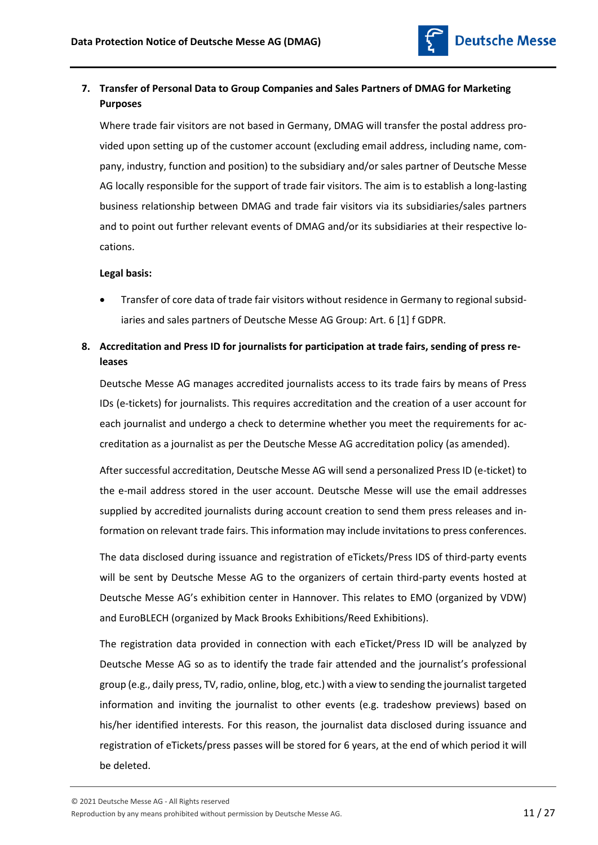

# **7. Transfer of Personal Data to Group Companies and Sales Partners of DMAG for Marketing Purposes**

Where trade fair visitors are not based in Germany, DMAG will transfer the postal address provided upon setting up of the customer account (excluding email address, including name, company, industry, function and position) to the subsidiary and/or sales partner of Deutsche Messe AG locally responsible for the support of trade fair visitors. The aim is to establish a long-lasting business relationship between DMAG and trade fair visitors via its subsidiaries/sales partners and to point out further relevant events of DMAG and/or its subsidiaries at their respective locations.

# **Legal basis:**

 Transfer of core data of trade fair visitors without residence in Germany to regional subsidiaries and sales partners of Deutsche Messe AG Group: Art. 6 [1] f GDPR.

# **8. Accreditation and Press ID for journalists for participation at trade fairs, sending of press releases**

Deutsche Messe AG manages accredited journalists access to its trade fairs by means of Press IDs (e-tickets) for journalists. This requires accreditation and the creation of a user account for each journalist and undergo a check to determine whether you meet the requirements for accreditation as a journalist as per the Deutsche Messe AG accreditation policy (as amended).

After successful accreditation, Deutsche Messe AG will send a personalized Press ID (e-ticket) to the e-mail address stored in the user account. Deutsche Messe will use the email addresses supplied by accredited journalists during account creation to send them press releases and information on relevant trade fairs. This information may include invitations to press conferences.

The data disclosed during issuance and registration of eTickets/Press IDS of third-party events will be sent by Deutsche Messe AG to the organizers of certain third-party events hosted at Deutsche Messe AG's exhibition center in Hannover. This relates to EMO (organized by VDW) and EuroBLECH (organized by Mack Brooks Exhibitions/Reed Exhibitions).

The registration data provided in connection with each eTicket/Press ID will be analyzed by Deutsche Messe AG so as to identify the trade fair attended and the journalist's professional group (e.g., daily press, TV, radio, online, blog, etc.) with a view to sending the journalist targeted information and inviting the journalist to other events (e.g. tradeshow previews) based on his/her identified interests. For this reason, the journalist data disclosed during issuance and registration of eTickets/press passes will be stored for 6 years, at the end of which period it will be deleted.

© 2021 Deutsche Messe AG - All Rights reserved

Reproduction by any means prohibited without permission by Deutsche Messe AG.  $11/27$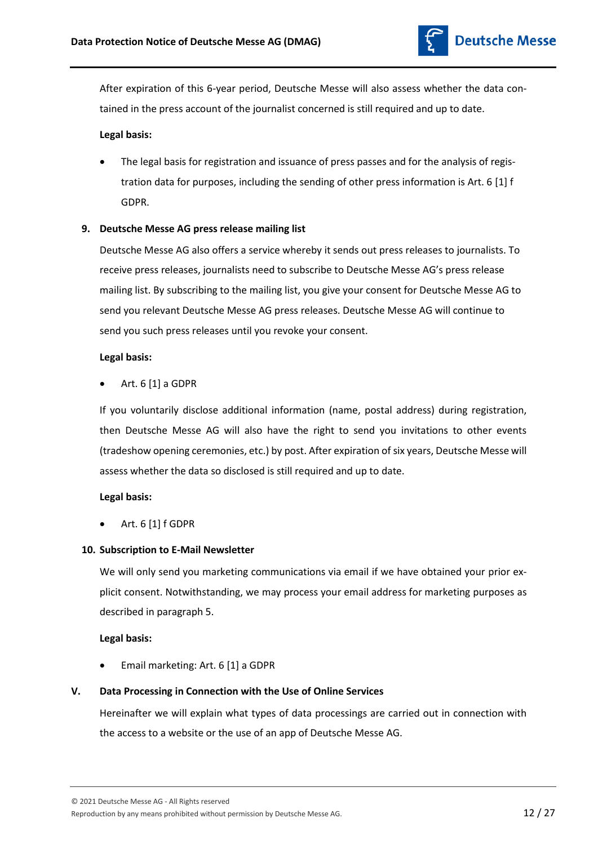

After expiration of this 6-year period, Deutsche Messe will also assess whether the data contained in the press account of the journalist concerned is still required and up to date.

# **Legal basis:**

 The legal basis for registration and issuance of press passes and for the analysis of registration data for purposes, including the sending of other press information is Art. 6 [1] f GDPR.

# **9. Deutsche Messe AG press release mailing list**

Deutsche Messe AG also offers a service whereby it sends out press releases to journalists. To receive press releases, journalists need to subscribe to Deutsche Messe AG's press release mailing list. By subscribing to the mailing list, you give your consent for Deutsche Messe AG to send you relevant Deutsche Messe AG press releases. Deutsche Messe AG will continue to send you such press releases until you revoke your consent.

## **Legal basis:**

Art. 6 [1] a GDPR

If you voluntarily disclose additional information (name, postal address) during registration, then Deutsche Messe AG will also have the right to send you invitations to other events (tradeshow opening ceremonies, etc.) by post. After expiration of six years, Deutsche Messe will assess whether the data so disclosed is still required and up to date.

# **Legal basis:**

Art. 6 [1] f GDPR

# **10. Subscription to E-Mail Newsletter**

We will only send you marketing communications via email if we have obtained your prior explicit consent. Notwithstanding, we may process your email address for marketing purposes as described in paragraph 5.

# **Legal basis:**

Email marketing: Art. 6 [1] a GDPR

# **V. Data Processing in Connection with the Use of Online Services**

Hereinafter we will explain what types of data processings are carried out in connection with the access to a website or the use of an app of Deutsche Messe AG.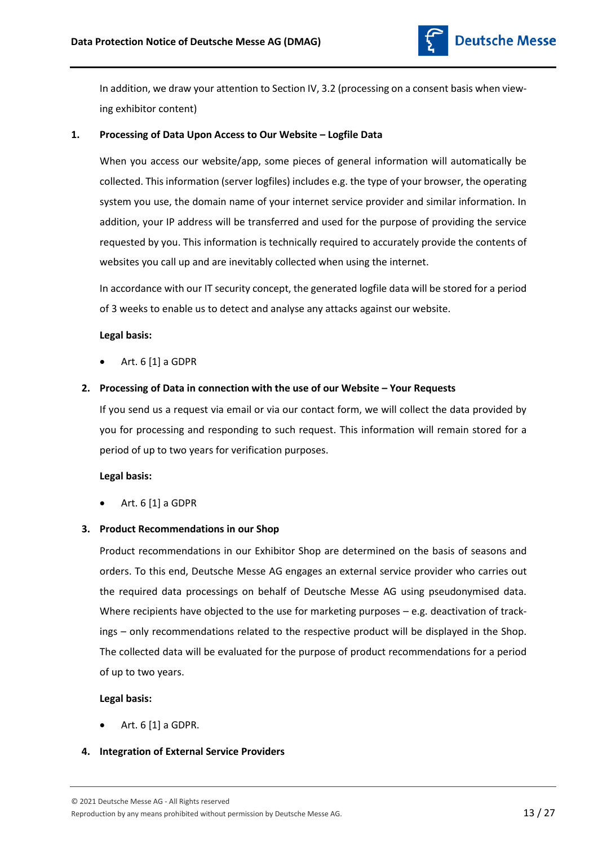

In addition, we draw your attention to Section IV, 3.2 (processing on a consent basis when viewing exhibitor content)

# **1. Processing of Data Upon Access to Our Website – Logfile Data**

When you access our website/app, some pieces of general information will automatically be collected. This information (server logfiles) includes e.g. the type of your browser, the operating system you use, the domain name of your internet service provider and similar information. In addition, your IP address will be transferred and used for the purpose of providing the service requested by you. This information is technically required to accurately provide the contents of websites you call up and are inevitably collected when using the internet.

In accordance with our IT security concept, the generated logfile data will be stored for a period of 3 weeks to enable us to detect and analyse any attacks against our website.

## **Legal basis:**

Art. 6 [1] a GDPR

# **2. Processing of Data in connection with the use of our Website – Your Requests**

If you send us a request via email or via our contact form, we will collect the data provided by you for processing and responding to such request. This information will remain stored for a period of up to two years for verification purposes.

# **Legal basis:**

Art. 6 [1] a GDPR

# **3. Product Recommendations in our Shop**

Product recommendations in our Exhibitor Shop are determined on the basis of seasons and orders. To this end, Deutsche Messe AG engages an external service provider who carries out the required data processings on behalf of Deutsche Messe AG using pseudonymised data. Where recipients have objected to the use for marketing purposes – e.g. deactivation of trackings – only recommendations related to the respective product will be displayed in the Shop. The collected data will be evaluated for the purpose of product recommendations for a period of up to two years.

# **Legal basis:**

Art. 6 [1] a GDPR.

# **4. Integration of External Service Providers**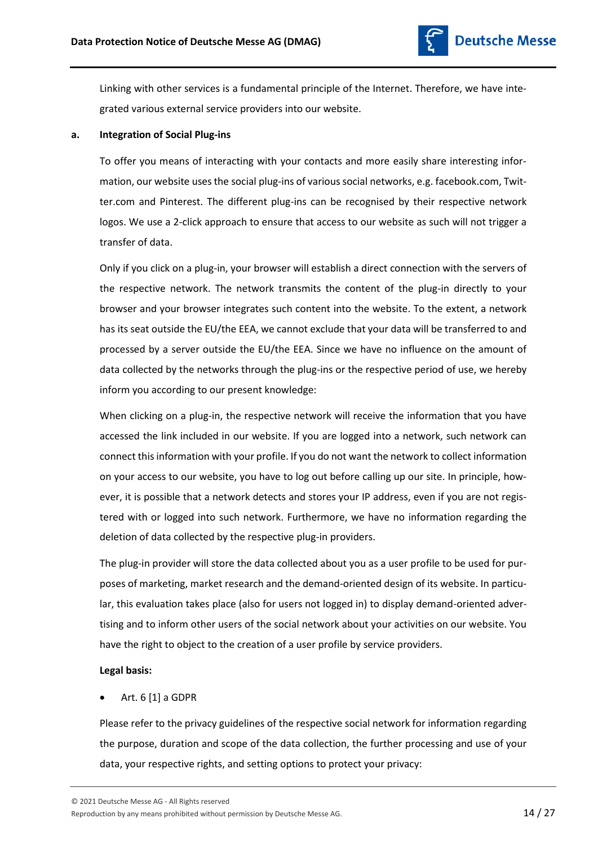

Linking with other services is a fundamental principle of the Internet. Therefore, we have integrated various external service providers into our website.

## **a. Integration of Social Plug-ins**

To offer you means of interacting with your contacts and more easily share interesting information, our website uses the social plug-ins of various social networks, e.g. facebook.com, Twitter.com and Pinterest. The different plug-ins can be recognised by their respective network logos. We use a 2-click approach to ensure that access to our website as such will not trigger a transfer of data.

Only if you click on a plug-in, your browser will establish a direct connection with the servers of the respective network. The network transmits the content of the plug-in directly to your browser and your browser integrates such content into the website. To the extent, a network has its seat outside the EU/the EEA, we cannot exclude that your data will be transferred to and processed by a server outside the EU/the EEA. Since we have no influence on the amount of data collected by the networks through the plug-ins or the respective period of use, we hereby inform you according to our present knowledge:

When clicking on a plug-in, the respective network will receive the information that you have accessed the link included in our website. If you are logged into a network, such network can connect this information with your profile. If you do not want the network to collect information on your access to our website, you have to log out before calling up our site. In principle, however, it is possible that a network detects and stores your IP address, even if you are not registered with or logged into such network. Furthermore, we have no information regarding the deletion of data collected by the respective plug-in providers.

The plug-in provider will store the data collected about you as a user profile to be used for purposes of marketing, market research and the demand-oriented design of its website. In particular, this evaluation takes place (also for users not logged in) to display demand-oriented advertising and to inform other users of the social network about your activities on our website. You have the right to object to the creation of a user profile by service providers.

# **Legal basis:**

# Art. 6 [1] a GDPR

Please refer to the privacy guidelines of the respective social network for information regarding the purpose, duration and scope of the data collection, the further processing and use of your data, your respective rights, and setting options to protect your privacy:

© 2021 Deutsche Messe AG - All Rights reserved

Reproduction by any means prohibited without permission by Deutsche Messe AG.  $14/27$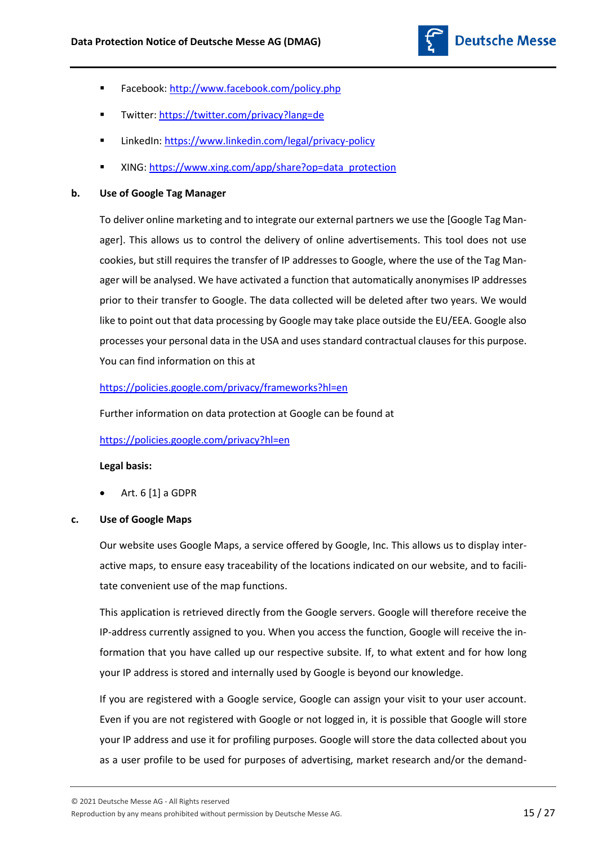

- Facebook:<http://www.facebook.com/policy.php>
- Twitter[: https://twitter.com/privacy?lang=de](https://twitter.com/privacy?lang=de)
- LinkedIn: <https://www.linkedin.com/legal/privacy-policy>
- XING[: https://www.xing.com/app/share?op=data\\_protection](https://www.xing.com/app/share?op=data_protection)

# **b. Use of Google Tag Manager**

To deliver online marketing and to integrate our external partners we use the [Google Tag Manager]. This allows us to control the delivery of online advertisements. This tool does not use cookies, but still requires the transfer of IP addresses to Google, where the use of the Tag Manager will be analysed. We have activated a function that automatically anonymises IP addresses prior to their transfer to Google. The data collected will be deleted after two years. We would like to point out that data processing by Google may take place outside the EU/EEA. Google also processes your personal data in the USA and uses standard contractual clauses for this purpose. You can find information on this at

# <https://policies.google.com/privacy/frameworks?hl=en>

Further information on data protection at Google can be found at

# <https://policies.google.com/privacy?hl=en>

# **Legal basis:**

Art. 6 [1] a GDPR

# **c. Use of Google Maps**

Our website uses Google Maps, a service offered by Google, Inc. This allows us to display interactive maps, to ensure easy traceability of the locations indicated on our website, and to facilitate convenient use of the map functions.

This application is retrieved directly from the Google servers. Google will therefore receive the IP-address currently assigned to you. When you access the function, Google will receive the information that you have called up our respective subsite. If, to what extent and for how long your IP address is stored and internally used by Google is beyond our knowledge.

If you are registered with a Google service, Google can assign your visit to your user account. Even if you are not registered with Google or not logged in, it is possible that Google will store your IP address and use it for profiling purposes. Google will store the data collected about you as a user profile to be used for purposes of advertising, market research and/or the demand-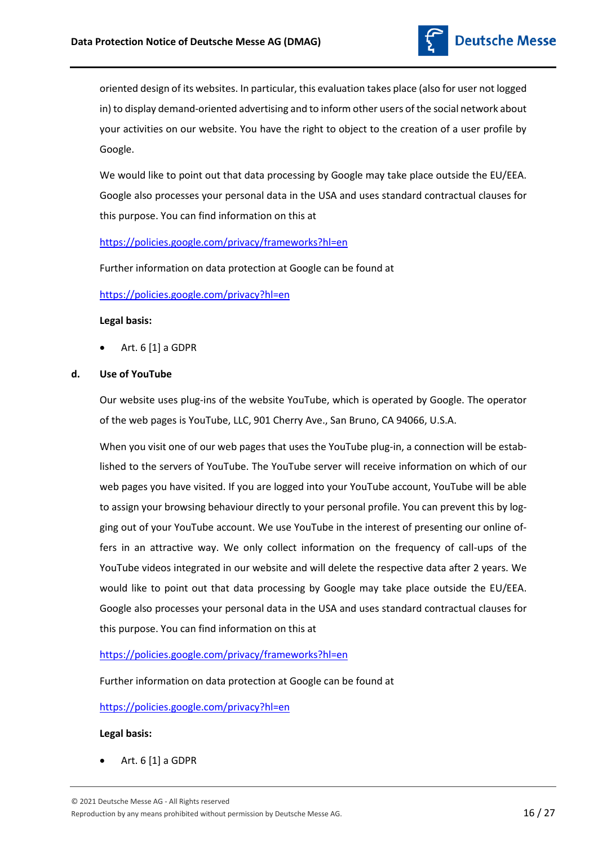

oriented design of its websites. In particular, this evaluation takes place (also for user not logged in) to display demand-oriented advertising and to inform other users of the social network about your activities on our website. You have the right to object to the creation of a user profile by Google.

We would like to point out that data processing by Google may take place outside the EU/EEA. Google also processes your personal data in the USA and uses standard contractual clauses for this purpose. You can find information on this at

# <https://policies.google.com/privacy/frameworks?hl=en>

Further information on data protection at Google can be found at

# <https://policies.google.com/privacy?hl=en>

## **Legal basis:**

Art. 6 [1] a GDPR

# **d. Use of YouTube**

Our website uses plug-ins of the website YouTube, which is operated by Google. The operator of the web pages is YouTube, LLC, 901 Cherry Ave., San Bruno, CA 94066, U.S.A.

When you visit one of our web pages that uses the YouTube plug-in, a connection will be established to the servers of YouTube. The YouTube server will receive information on which of our web pages you have visited. If you are logged into your YouTube account, YouTube will be able to assign your browsing behaviour directly to your personal profile. You can prevent this by logging out of your YouTube account. We use YouTube in the interest of presenting our online offers in an attractive way. We only collect information on the frequency of call-ups of the YouTube videos integrated in our website and will delete the respective data after 2 years. We would like to point out that data processing by Google may take place outside the EU/EEA. Google also processes your personal data in the USA and uses standard contractual clauses for this purpose. You can find information on this at

# <https://policies.google.com/privacy/frameworks?hl=en>

Further information on data protection at Google can be found at

# <https://policies.google.com/privacy?hl=en>

# **Legal basis:**

Art. 6 [1] a GDPR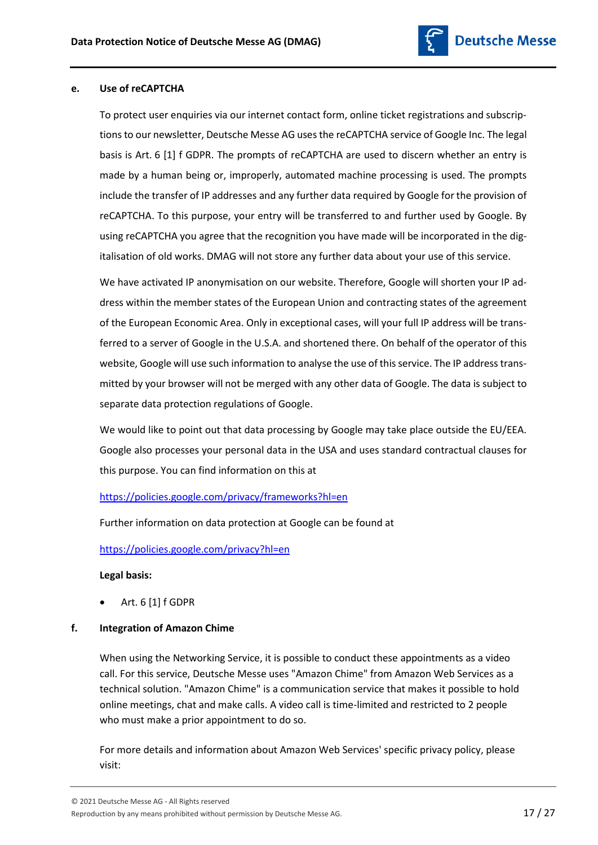

# **e. Use of reCAPTCHA**

To protect user enquiries via our internet contact form, online ticket registrations and subscriptions to our newsletter, Deutsche Messe AG uses the reCAPTCHA service of Google Inc. The legal basis is Art. 6 [1] f GDPR. The prompts of reCAPTCHA are used to discern whether an entry is made by a human being or, improperly, automated machine processing is used. The prompts include the transfer of IP addresses and any further data required by Google for the provision of reCAPTCHA. To this purpose, your entry will be transferred to and further used by Google. By using reCAPTCHA you agree that the recognition you have made will be incorporated in the digitalisation of old works. DMAG will not store any further data about your use of this service.

We have activated IP anonymisation on our website. Therefore, Google will shorten your IP address within the member states of the European Union and contracting states of the agreement of the European Economic Area. Only in exceptional cases, will your full IP address will be transferred to a server of Google in the U.S.A. and shortened there. On behalf of the operator of this website, Google will use such information to analyse the use of this service. The IP address transmitted by your browser will not be merged with any other data of Google. The data is subject to separate data protection regulations of Google.

We would like to point out that data processing by Google may take place outside the EU/EEA. Google also processes your personal data in the USA and uses standard contractual clauses for this purpose. You can find information on this at

# <https://policies.google.com/privacy/frameworks?hl=en>

Further information on data protection at Google can be found at

<https://policies.google.com/privacy?hl=en>

#### **Legal basis:**

Art. 6 [1] f GDPR

# **f. Integration of Amazon Chime**

When using the Networking Service, it is possible to conduct these appointments as a video call. For this service, Deutsche Messe uses "Amazon Chime" from Amazon Web Services as a technical solution. "Amazon Chime" is a communication service that makes it possible to hold online meetings, chat and make calls. A video call is time-limited and restricted to 2 people who must make a prior appointment to do so.

For more details and information about Amazon Web Services' specific privacy policy, please visit: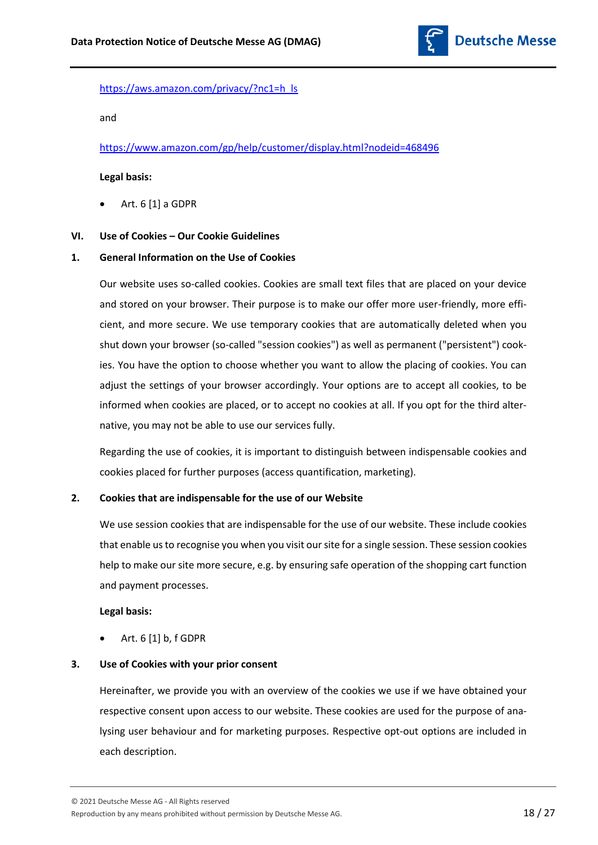

# [https://aws.amazon.com/privacy/?nc1=h\\_ls](https://aws.amazon.com/privacy/?nc1=h_ls)

and

<https://www.amazon.com/gp/help/customer/display.html?nodeid=468496>

## **Legal basis:**

Art. 6 [1] a GDPR

# **VI. Use of Cookies – Our Cookie Guidelines**

## **1. General Information on the Use of Cookies**

Our website uses so-called cookies. Cookies are small text files that are placed on your device and stored on your browser. Their purpose is to make our offer more user-friendly, more efficient, and more secure. We use temporary cookies that are automatically deleted when you shut down your browser (so-called "session cookies") as well as permanent ("persistent") cookies. You have the option to choose whether you want to allow the placing of cookies. You can adjust the settings of your browser accordingly. Your options are to accept all cookies, to be informed when cookies are placed, or to accept no cookies at all. If you opt for the third alternative, you may not be able to use our services fully.

Regarding the use of cookies, it is important to distinguish between indispensable cookies and cookies placed for further purposes (access quantification, marketing).

# **2. Cookies that are indispensable for the use of our Website**

We use session cookies that are indispensable for the use of our website. These include cookies that enable us to recognise you when you visit our site for a single session. These session cookies help to make our site more secure, e.g. by ensuring safe operation of the shopping cart function and payment processes.

# **Legal basis:**

Art. 6 [1] b, f GDPR

# **3. Use of Cookies with your prior consent**

Hereinafter, we provide you with an overview of the cookies we use if we have obtained your respective consent upon access to our website. These cookies are used for the purpose of analysing user behaviour and for marketing purposes. Respective opt-out options are included in each description.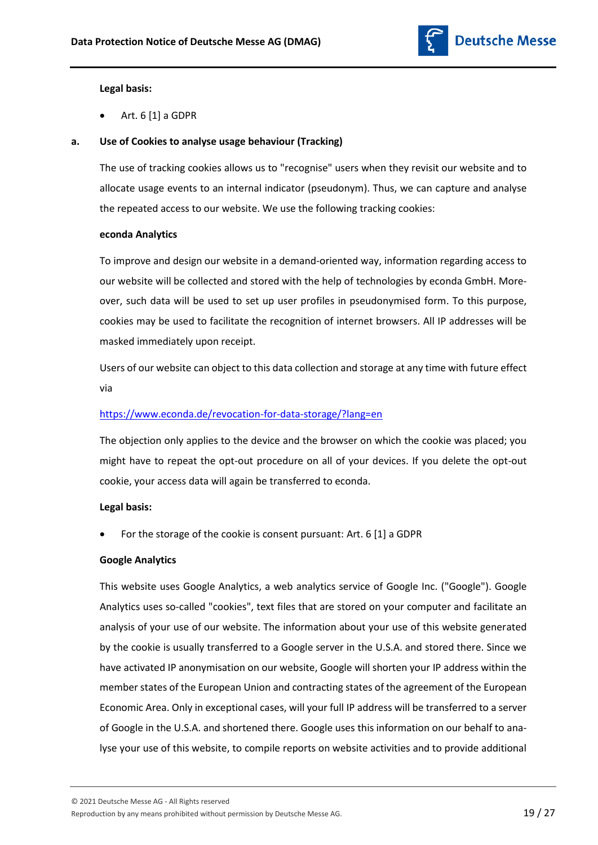

# **Legal basis:**

Art. 6 [1] a GDPR

# **a. Use of Cookies to analyse usage behaviour (Tracking)**

The use of tracking cookies allows us to "recognise" users when they revisit our website and to allocate usage events to an internal indicator (pseudonym). Thus, we can capture and analyse the repeated access to our website. We use the following tracking cookies:

## **econda Analytics**

To improve and design our website in a demand-oriented way, information regarding access to our website will be collected and stored with the help of technologies by econda GmbH. Moreover, such data will be used to set up user profiles in pseudonymised form. To this purpose, cookies may be used to facilitate the recognition of internet browsers. All IP addresses will be masked immediately upon receipt.

Users of our website can object to this data collection and storage at any time with future effect via

# <https://www.econda.de/revocation-for-data-storage/?lang=en>

The objection only applies to the device and the browser on which the cookie was placed; you might have to repeat the opt-out procedure on all of your devices. If you delete the opt-out cookie, your access data will again be transferred to econda.

# **Legal basis:**

For the storage of the cookie is consent pursuant: Art. 6 [1] a GDPR

# **Google Analytics**

This website uses Google Analytics, a web analytics service of Google Inc. ("Google"). Google Analytics uses so-called "cookies", text files that are stored on your computer and facilitate an analysis of your use of our website. The information about your use of this website generated by the cookie is usually transferred to a Google server in the U.S.A. and stored there. Since we have activated IP anonymisation on our website, Google will shorten your IP address within the member states of the European Union and contracting states of the agreement of the European Economic Area. Only in exceptional cases, will your full IP address will be transferred to a server of Google in the U.S.A. and shortened there. Google uses this information on our behalf to analyse your use of this website, to compile reports on website activities and to provide additional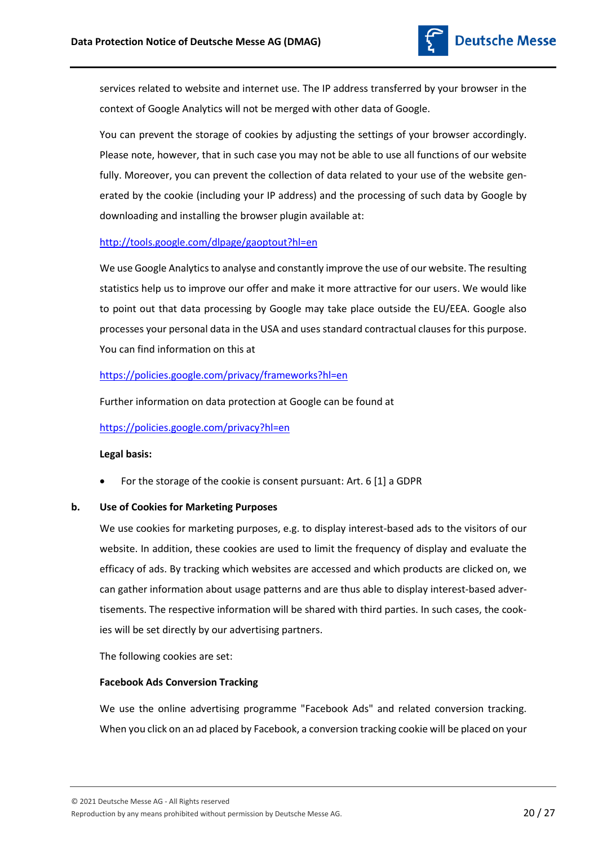

services related to website and internet use. The IP address transferred by your browser in the context of Google Analytics will not be merged with other data of Google.

You can prevent the storage of cookies by adjusting the settings of your browser accordingly. Please note, however, that in such case you may not be able to use all functions of our website fully. Moreover, you can prevent the collection of data related to your use of the website generated by the cookie (including your IP address) and the processing of such data by Google by downloading and installing the browser plugin available at:

# <http://tools.google.com/dlpage/gaoptout?hl=en>

We use Google Analytics to analyse and constantly improve the use of our website. The resulting statistics help us to improve our offer and make it more attractive for our users. We would like to point out that data processing by Google may take place outside the EU/EEA. Google also processes your personal data in the USA and uses standard contractual clauses for this purpose. You can find information on this at

# <https://policies.google.com/privacy/frameworks?hl=en>

Further information on data protection at Google can be found at

# <https://policies.google.com/privacy?hl=en>

# **Legal basis:**

For the storage of the cookie is consent pursuant: Art. 6 [1] a GDPR

# **b. Use of Cookies for Marketing Purposes**

We use cookies for marketing purposes, e.g. to display interest-based ads to the visitors of our website. In addition, these cookies are used to limit the frequency of display and evaluate the efficacy of ads. By tracking which websites are accessed and which products are clicked on, we can gather information about usage patterns and are thus able to display interest-based advertisements. The respective information will be shared with third parties. In such cases, the cookies will be set directly by our advertising partners.

The following cookies are set:

# **Facebook Ads Conversion Tracking**

We use the online advertising programme "Facebook Ads" and related conversion tracking. When you click on an ad placed by Facebook, a conversion tracking cookie will be placed on your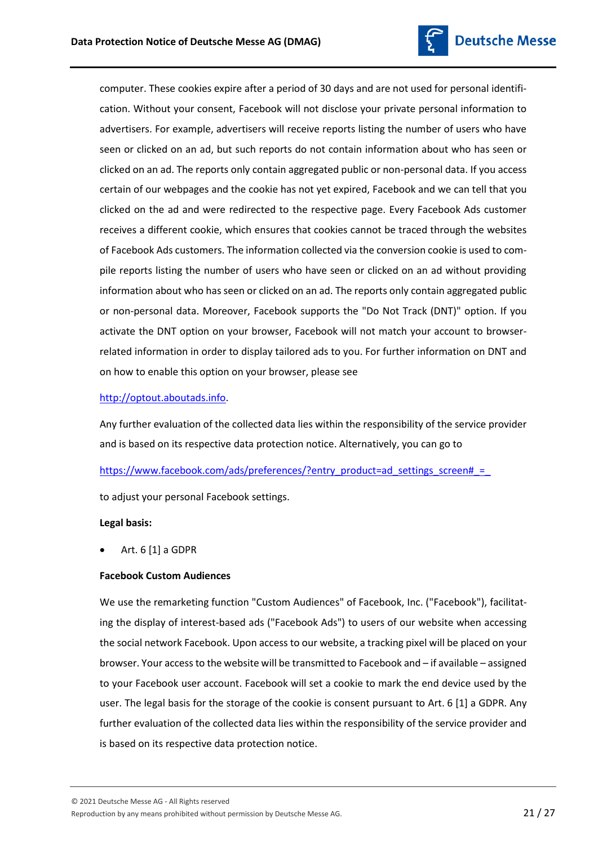

computer. These cookies expire after a period of 30 days and are not used for personal identification. Without your consent, Facebook will not disclose your private personal information to advertisers. For example, advertisers will receive reports listing the number of users who have seen or clicked on an ad, but such reports do not contain information about who has seen or clicked on an ad. The reports only contain aggregated public or non-personal data. If you access certain of our webpages and the cookie has not yet expired, Facebook and we can tell that you clicked on the ad and were redirected to the respective page. Every Facebook Ads customer receives a different cookie, which ensures that cookies cannot be traced through the websites of Facebook Ads customers. The information collected via the conversion cookie is used to compile reports listing the number of users who have seen or clicked on an ad without providing information about who has seen or clicked on an ad. The reports only contain aggregated public or non-personal data. Moreover, Facebook supports the "Do Not Track (DNT)" option. If you activate the DNT option on your browser, Facebook will not match your account to browserrelated information in order to display tailored ads to you. For further information on DNT and on how to enable this option on your browser, please see

# [http://optout.aboutads.info.](http://optout.aboutads.info/)

Any further evaluation of the collected data lies within the responsibility of the service provider and is based on its respective data protection notice. Alternatively, you can go to

https://www.facebook.com/ads/preferences/?entry\_product=ad\_settings\_screen# =

to adjust your personal Facebook settings.

# **Legal basis:**

Art. 6 [1] a GDPR

# **Facebook Custom Audiences**

We use the remarketing function "Custom Audiences" of Facebook, Inc. ("Facebook"), facilitating the display of interest-based ads ("Facebook Ads") to users of our website when accessing the social network Facebook. Upon access to our website, a tracking pixel will be placed on your browser. Your access to the website will be transmitted to Facebook and – if available – assigned to your Facebook user account. Facebook will set a cookie to mark the end device used by the user. The legal basis for the storage of the cookie is consent pursuant to Art. 6 [1] a GDPR. Any further evaluation of the collected data lies within the responsibility of the service provider and is based on its respective data protection notice.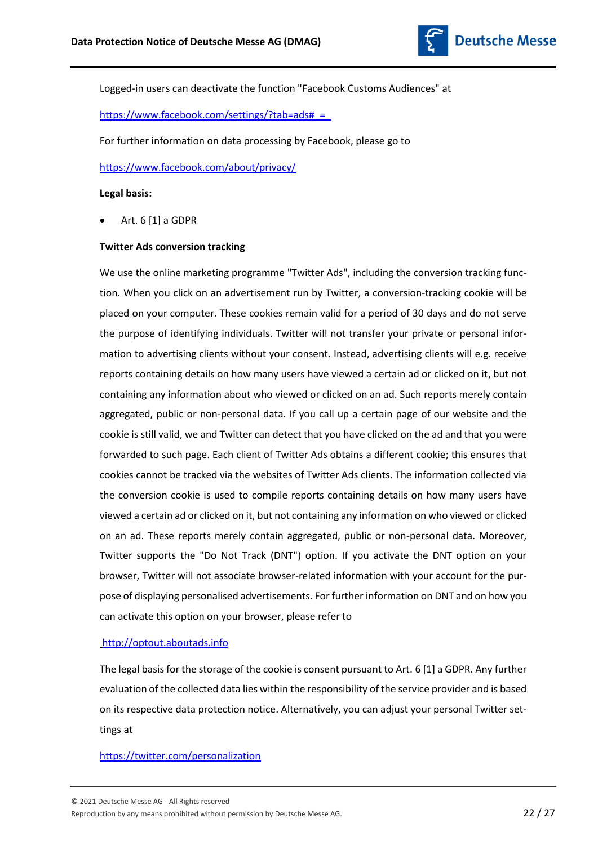

Logged-in users can deactivate the function "Facebook Customs Audiences" at

[https://www.facebook.com/settings/?tab=ads#\\_=\\_](https://www.facebook.com/settings/?tab=ads#_=_)

For further information on data processing by Facebook, please go to

<https://www.facebook.com/about/privacy/>

#### **Legal basis:**

Art. 6 [1] a GDPR

#### **Twitter Ads conversion tracking**

We use the online marketing programme "Twitter Ads", including the conversion tracking function. When you click on an advertisement run by Twitter, a conversion-tracking cookie will be placed on your computer. These cookies remain valid for a period of 30 days and do not serve the purpose of identifying individuals. Twitter will not transfer your private or personal information to advertising clients without your consent. Instead, advertising clients will e.g. receive reports containing details on how many users have viewed a certain ad or clicked on it, but not containing any information about who viewed or clicked on an ad. Such reports merely contain aggregated, public or non-personal data. If you call up a certain page of our website and the cookie is still valid, we and Twitter can detect that you have clicked on the ad and that you were forwarded to such page. Each client of Twitter Ads obtains a different cookie; this ensures that cookies cannot be tracked via the websites of Twitter Ads clients. The information collected via the conversion cookie is used to compile reports containing details on how many users have viewed a certain ad or clicked on it, but not containing any information on who viewed or clicked on an ad. These reports merely contain aggregated, public or non-personal data. Moreover, Twitter supports the "Do Not Track (DNT") option. If you activate the DNT option on your browser, Twitter will not associate browser-related information with your account for the purpose of displaying personalised advertisements. For further information on DNT and on how you can activate this option on your browser, please refer to

#### [http://optout.aboutads.info](http://optout.aboutads.info/)

The legal basis for the storage of the cookie is consent pursuant to Art. 6 [1] a GDPR. Any further evaluation of the collected data lies within the responsibility of the service provider and is based on its respective data protection notice. Alternatively, you can adjust your personal Twitter settings at

## <https://twitter.com/personalization>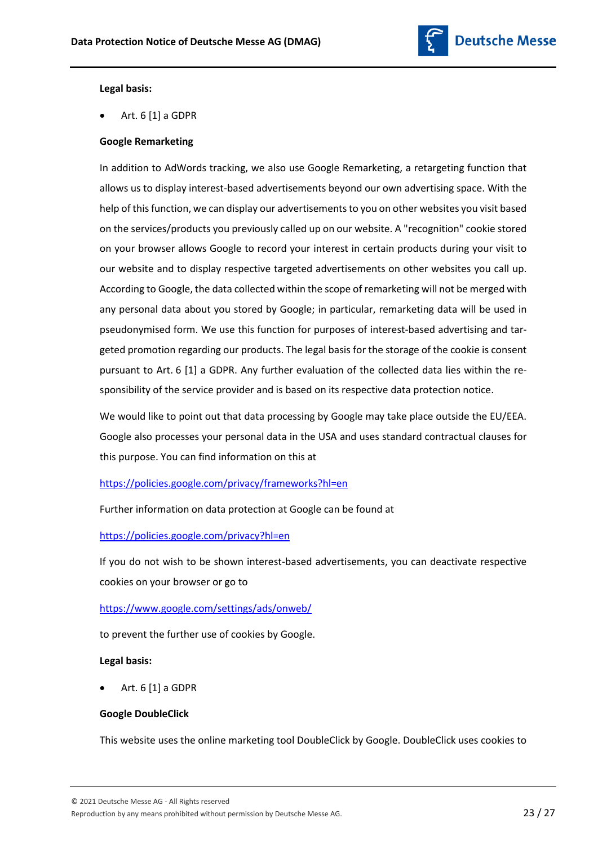

#### **Legal basis:**

Art. 6 [1] a GDPR

## **Google Remarketing**

In addition to AdWords tracking, we also use Google Remarketing, a retargeting function that allows us to display interest-based advertisements beyond our own advertising space. With the help of this function, we can display our advertisements to you on other websites you visit based on the services/products you previously called up on our website. A "recognition" cookie stored on your browser allows Google to record your interest in certain products during your visit to our website and to display respective targeted advertisements on other websites you call up. According to Google, the data collected within the scope of remarketing will not be merged with any personal data about you stored by Google; in particular, remarketing data will be used in pseudonymised form. We use this function for purposes of interest-based advertising and targeted promotion regarding our products. The legal basis for the storage of the cookie is consent pursuant to Art. 6 [1] a GDPR. Any further evaluation of the collected data lies within the responsibility of the service provider and is based on its respective data protection notice.

We would like to point out that data processing by Google may take place outside the EU/EEA. Google also processes your personal data in the USA and uses standard contractual clauses for this purpose. You can find information on this at

#### <https://policies.google.com/privacy/frameworks?hl=en>

Further information on data protection at Google can be found at

#### <https://policies.google.com/privacy?hl=en>

If you do not wish to be shown interest-based advertisements, you can deactivate respective cookies on your browser or go to

# <https://www.google.com/settings/ads/onweb/>

to prevent the further use of cookies by Google.

#### **Legal basis:**

Art. 6 [1] a GDPR

#### **Google DoubleClick**

This website uses the online marketing tool DoubleClick by Google. DoubleClick uses cookies to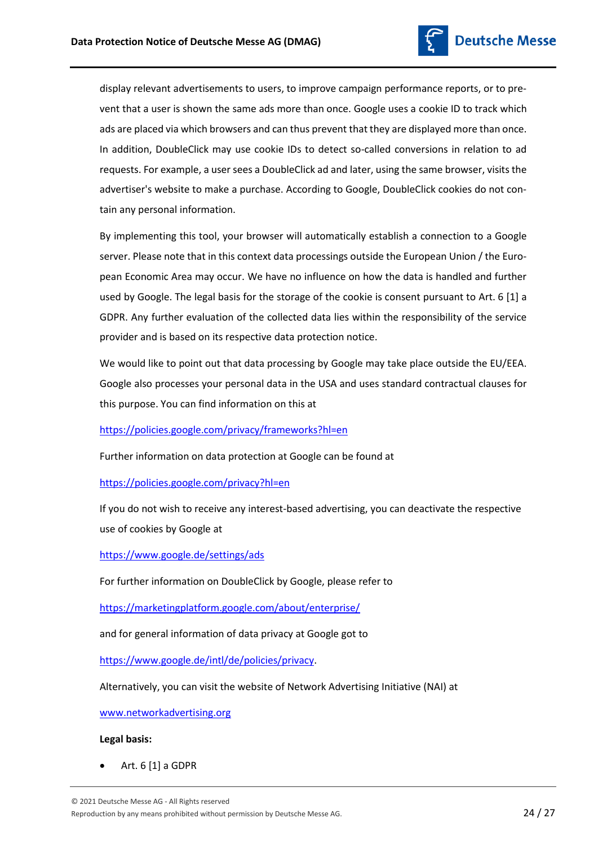

display relevant advertisements to users, to improve campaign performance reports, or to prevent that a user is shown the same ads more than once. Google uses a cookie ID to track which ads are placed via which browsers and can thus prevent that they are displayed more than once. In addition, DoubleClick may use cookie IDs to detect so-called conversions in relation to ad requests. For example, a user sees a DoubleClick ad and later, using the same browser, visits the advertiser's website to make a purchase. According to Google, DoubleClick cookies do not contain any personal information.

By implementing this tool, your browser will automatically establish a connection to a Google server. Please note that in this context data processings outside the European Union / the European Economic Area may occur. We have no influence on how the data is handled and further used by Google. The legal basis for the storage of the cookie is consent pursuant to Art. 6 [1] a GDPR. Any further evaluation of the collected data lies within the responsibility of the service provider and is based on its respective data protection notice.

We would like to point out that data processing by Google may take place outside the EU/EEA. Google also processes your personal data in the USA and uses standard contractual clauses for this purpose. You can find information on this at

<https://policies.google.com/privacy/frameworks?hl=en>

Further information on data protection at Google can be found at

<https://policies.google.com/privacy?hl=en>

If you do not wish to receive any interest-based advertising, you can deactivate the respective use of cookies by Google at

<https://www.google.de/settings/ads>

For further information on DoubleClick by Google, please refer to

<https://marketingplatform.google.com/about/enterprise/>

and for general information of data privacy at Google got to

[https://www.google.de/intl/de/policies/privacy.](https://www.google.de/intl/de/policies/privacy)

Alternatively, you can visit the website of Network Advertising Initiative (NAI) at

[www.networkadvertising.org](http://www.networkadvertising.org/)

#### **Legal basis:**

Art. 6 [1] a GDPR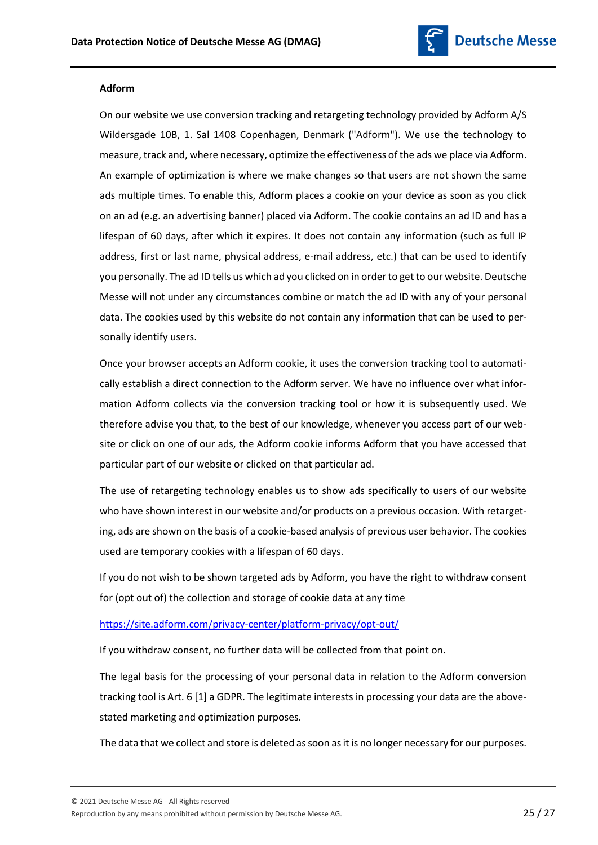

## **Adform**

On our website we use conversion tracking and retargeting technology provided by Adform A/S Wildersgade 10B, 1. Sal 1408 Copenhagen, Denmark ("Adform"). We use the technology to measure, track and, where necessary, optimize the effectiveness of the ads we place via Adform. An example of optimization is where we make changes so that users are not shown the same ads multiple times. To enable this, Adform places a cookie on your device as soon as you click on an ad (e.g. an advertising banner) placed via Adform. The cookie contains an ad ID and has a lifespan of 60 days, after which it expires. It does not contain any information (such as full IP address, first or last name, physical address, e-mail address, etc.) that can be used to identify you personally. The ad ID tells us which ad you clicked on in order to get to our website. Deutsche Messe will not under any circumstances combine or match the ad ID with any of your personal data. The cookies used by this website do not contain any information that can be used to personally identify users.

Once your browser accepts an Adform cookie, it uses the conversion tracking tool to automatically establish a direct connection to the Adform server. We have no influence over what information Adform collects via the conversion tracking tool or how it is subsequently used. We therefore advise you that, to the best of our knowledge, whenever you access part of our website or click on one of our ads, the Adform cookie informs Adform that you have accessed that particular part of our website or clicked on that particular ad.

The use of retargeting technology enables us to show ads specifically to users of our website who have shown interest in our website and/or products on a previous occasion. With retargeting, ads are shown on the basis of a cookie-based analysis of previous user behavior. The cookies used are temporary cookies with a lifespan of 60 days.

If you do not wish to be shown targeted ads by Adform, you have the right to withdraw consent for (opt out of) the collection and storage of cookie data at any time

# <https://site.adform.com/privacy-center/platform-privacy/opt-out/>

If you withdraw consent, no further data will be collected from that point on.

The legal basis for the processing of your personal data in relation to the Adform conversion tracking tool is Art. 6 [1] a GDPR. The legitimate interests in processing your data are the abovestated marketing and optimization purposes.

The data that we collect and store is deleted as soon as it is no longer necessary for our purposes.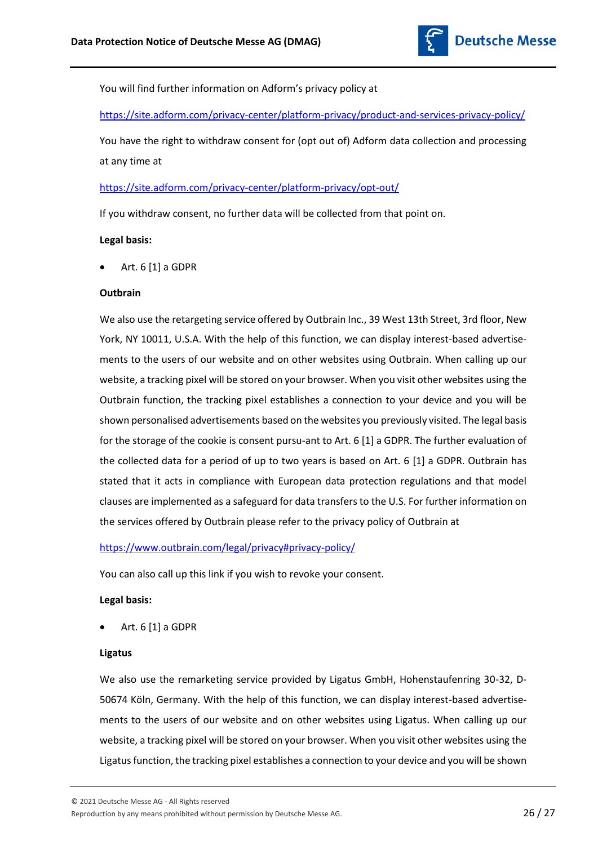

You will find further information on Adform's privacy policy at

<https://site.adform.com/privacy-center/platform-privacy/product-and-services-privacy-policy/>

You have the right to withdraw consent for (opt out of) Adform data collection and processing at any time at

## <https://site.adform.com/privacy-center/platform-privacy/opt-out/>

If you withdraw consent, no further data will be collected from that point on.

#### **Legal basis:**

Art. 6 [1] a GDPR

#### **Outbrain**

We also use the retargeting service offered by Outbrain Inc., 39 West 13th Street, 3rd floor, New York, NY 10011, U.S.A. With the help of this function, we can display interest-based advertisements to the users of our website and on other websites using Outbrain. When calling up our website, a tracking pixel will be stored on your browser. When you visit other websites using the Outbrain function, the tracking pixel establishes a connection to your device and you will be shown personalised advertisements based on the websites you previously visited. The legal basis for the storage of the cookie is consent pursu-ant to Art. 6 [1] a GDPR. The further evaluation of the collected data for a period of up to two years is based on Art. 6 [1] a GDPR. Outbrain has stated that it acts in compliance with European data protection regulations and that model clauses are implemented as a safeguard for data transfers to the U.S. For further information on the services offered by Outbrain please refer to the privacy policy of Outbrain at

<https://www.outbrain.com/legal/privacy#privacy-policy/>

You can also call up this link if you wish to revoke your consent.

#### **Legal basis:**

Art. 6 [1] a GDPR

## **Ligatus**

We also use the remarketing service provided by Ligatus GmbH, Hohenstaufenring 30-32, D-50674 Köln, Germany. With the help of this function, we can display interest-based advertisements to the users of our website and on other websites using Ligatus. When calling up our website, a tracking pixel will be stored on your browser. When you visit other websites using the Ligatus function, the tracking pixel establishes a connection to your device and you will be shown

© 2021 Deutsche Messe AG - All Rights reserved

Reproduction by any means prohibited without permission by Deutsche Messe AG. 26 / 27